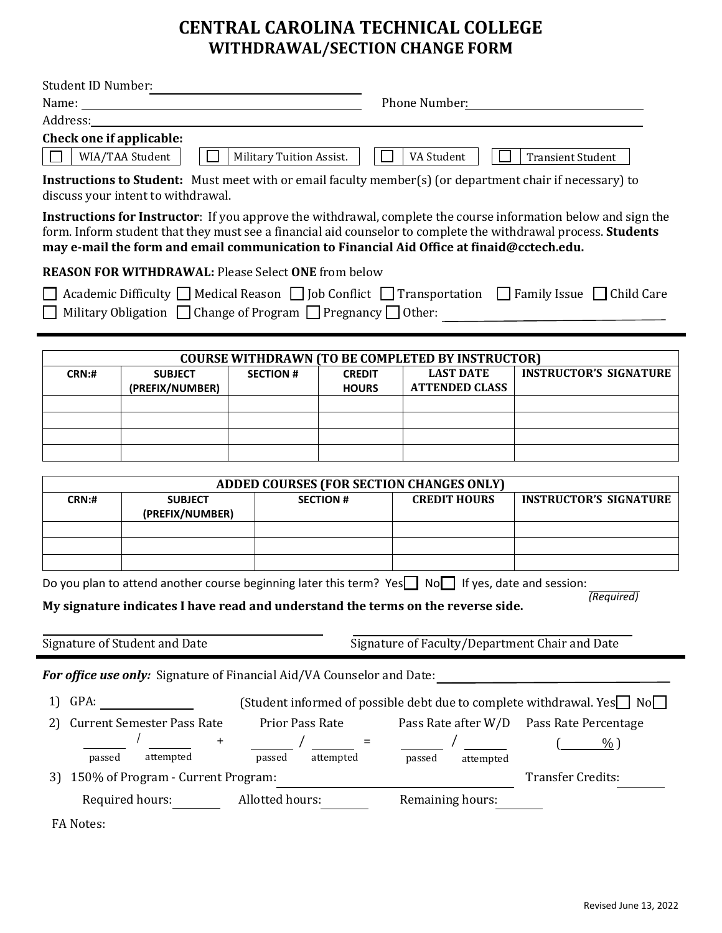# **CENTRAL CAROLINA TECHNICAL COLLEGE WITHDRAWAL/SECTION CHANGE FORM**

| <b>Student ID Number:</b>                                                                                      |                                                                             |                          |                                                                                                                      |                                                                                                                |                                                                                                                           |  |
|----------------------------------------------------------------------------------------------------------------|-----------------------------------------------------------------------------|--------------------------|----------------------------------------------------------------------------------------------------------------------|----------------------------------------------------------------------------------------------------------------|---------------------------------------------------------------------------------------------------------------------------|--|
|                                                                                                                |                                                                             |                          |                                                                                                                      | Phone Number:                                                                                                  |                                                                                                                           |  |
| Address: and all the set of the set of the set of the set of the set of the set of the set of the set of the s |                                                                             |                          |                                                                                                                      |                                                                                                                |                                                                                                                           |  |
| Check one if applicable:                                                                                       |                                                                             |                          |                                                                                                                      |                                                                                                                |                                                                                                                           |  |
|                                                                                                                | WIA/TAA Student                                                             | Military Tuition Assist. |                                                                                                                      | VA Student                                                                                                     | <b>Transient Student</b>                                                                                                  |  |
|                                                                                                                | discuss your intent to withdrawal.                                          |                          |                                                                                                                      |                                                                                                                | Instructions to Student: Must meet with or email faculty member(s) (or department chair if necessary) to                  |  |
|                                                                                                                |                                                                             |                          |                                                                                                                      |                                                                                                                | Instructions for Instructor: If you approve the withdrawal, complete the course information below and sign the            |  |
|                                                                                                                |                                                                             |                          |                                                                                                                      |                                                                                                                | form. Inform student that they must see a financial aid counselor to complete the withdrawal process. Students            |  |
|                                                                                                                |                                                                             |                          |                                                                                                                      | may e-mail the form and email communication to Financial Aid Office at finaid@cctech.edu.                      |                                                                                                                           |  |
|                                                                                                                | <b>REASON FOR WITHDRAWAL: Please Select ONE from below</b>                  |                          |                                                                                                                      |                                                                                                                |                                                                                                                           |  |
|                                                                                                                |                                                                             |                          |                                                                                                                      |                                                                                                                | Academic Difficulty $\Box$ Medical Reason $\Box$ Job Conflict $\Box$ Transportation $\Box$ Family Issue $\Box$ Child Care |  |
|                                                                                                                | Military Obligation $\Box$ Change of Program $\Box$ Pregnancy $\Box$ Other: |                          |                                                                                                                      |                                                                                                                |                                                                                                                           |  |
|                                                                                                                |                                                                             |                          |                                                                                                                      |                                                                                                                |                                                                                                                           |  |
|                                                                                                                |                                                                             |                          |                                                                                                                      | <b>COURSE WITHDRAWN (TO BE COMPLETED BY INSTRUCTOR)</b>                                                        |                                                                                                                           |  |
| CRN:#                                                                                                          | <b>SUBJECT</b>                                                              | <b>SECTION #</b>         | <b>CREDIT</b>                                                                                                        | <b>LAST DATE</b>                                                                                               | <b>INSTRUCTOR'S SIGNATURE</b>                                                                                             |  |
|                                                                                                                | (PREFIX/NUMBER)                                                             |                          | <b>HOURS</b>                                                                                                         | <b>ATTENDED CLASS</b>                                                                                          |                                                                                                                           |  |
|                                                                                                                |                                                                             |                          |                                                                                                                      |                                                                                                                |                                                                                                                           |  |
|                                                                                                                |                                                                             |                          |                                                                                                                      |                                                                                                                |                                                                                                                           |  |
|                                                                                                                |                                                                             |                          |                                                                                                                      |                                                                                                                |                                                                                                                           |  |
|                                                                                                                |                                                                             |                          |                                                                                                                      |                                                                                                                |                                                                                                                           |  |
| <b>CRN:#</b>                                                                                                   | <b>SUBJECT</b>                                                              |                          | ADDED COURSES (FOR SECTION CHANGES ONLY)<br><b>CREDIT HOURS</b><br><b>INSTRUCTOR'S SIGNATURE</b><br><b>SECTION #</b> |                                                                                                                |                                                                                                                           |  |
|                                                                                                                | (PREFIX/NUMBER)                                                             |                          |                                                                                                                      |                                                                                                                |                                                                                                                           |  |
|                                                                                                                |                                                                             |                          |                                                                                                                      |                                                                                                                |                                                                                                                           |  |
|                                                                                                                |                                                                             |                          |                                                                                                                      |                                                                                                                |                                                                                                                           |  |
|                                                                                                                |                                                                             |                          |                                                                                                                      |                                                                                                                |                                                                                                                           |  |
|                                                                                                                |                                                                             |                          |                                                                                                                      | Do you plan to attend another course beginning later this term? Yes $\Box$ No $\Box$ If yes, date and session: | (Required)                                                                                                                |  |
|                                                                                                                |                                                                             |                          |                                                                                                                      | My signature indicates I have read and understand the terms on the reverse side.                               |                                                                                                                           |  |
|                                                                                                                |                                                                             |                          |                                                                                                                      |                                                                                                                |                                                                                                                           |  |
|                                                                                                                | Signature of Student and Date                                               |                          |                                                                                                                      | Signature of Faculty/Department Chair and Date                                                                 |                                                                                                                           |  |
|                                                                                                                | For office use only: Signature of Financial Aid/VA Counselor and Date:      |                          |                                                                                                                      |                                                                                                                |                                                                                                                           |  |
| (Student informed of possible debt due to complete withdrawal. Yes□ No□<br>GPA:<br>1)                          |                                                                             |                          |                                                                                                                      |                                                                                                                |                                                                                                                           |  |
| <b>Current Semester Pass Rate</b><br>Prior Pass Rate<br>2)                                                     |                                                                             |                          |                                                                                                                      |                                                                                                                | Pass Rate after W/D Pass Rate Percentage                                                                                  |  |
|                                                                                                                | $\ddot{}$                                                                   |                          | $=$                                                                                                                  | $\frac{\ }{\ }$ / $\frac{\ }{\ }$                                                                              | $%$ )                                                                                                                     |  |
|                                                                                                                |                                                                             |                          | attempted                                                                                                            | passed<br>attempted                                                                                            |                                                                                                                           |  |
| passed                                                                                                         | attempted                                                                   | passed                   |                                                                                                                      |                                                                                                                |                                                                                                                           |  |
| 3)                                                                                                             | 150% of Program - Current Program:                                          |                          |                                                                                                                      |                                                                                                                | <b>Transfer Credits:</b>                                                                                                  |  |
|                                                                                                                | Required hours:                                                             | Allotted hours:          |                                                                                                                      | Remaining hours:                                                                                               |                                                                                                                           |  |